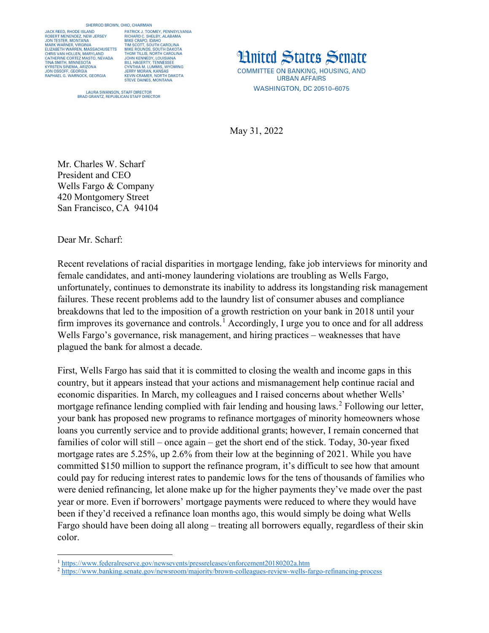## SHERROD BROWN, OHIO, CHAIRMAN

JACK REED, RHODE ISLAND<br>ROBERT MENENDEZ, NEW JERSEY<br>JON TESTER, MONTANA<br>MARK WARNER, VIRGINIA<br>ELIZABETH WARREN, MASSACHUSETTS<br>LIZABETH WARREN, MASSACHUSETTS CHRIS VAN HOLLEN, MARYLAND<br>CATHERINE CORTEZ MASTO, NEVADA **TINA SMITH, MINNESOTA KYRSTEN SINEMA ARIZONA** JON OSSOFF, GEORGIA<br>RAPHAEL G. WARNOCK, GEORGIA

PHO, CHAININN<br>RICHARD C. SHELBY, ALABAMA<br>RICHARD C. SHELBY, ALABAMA<br>MIKE CRAPO, IDAHO<br>MIKE ROUNDS, SOUTH DAKOTA<br>MIKE ROUNDS, SOUTH DAKOTA<br>TIOLM TILLIS, NORTH CAROLINA<br>TIOLM TENINENY LOUIRIANA JOHN KENNEDY, LOUISIANA<br>BILL HAGERTY, TENNESSEE **BILL FAGERITT, TENNESSEE<br>CYNTHIA M. LUMMIS, WYOMING<br>JERRY MORAN, KANSAS<br>KEVIN CRAMER, NORTH DAKOTA<br>STEVE DAINES, MONTANA** 

**LAURA SWANSON, STAFF DIRECTOR** BRAD GRANTZ, REPUBLICAN STAFF DIRECTOR **Hnited States Senate COMMITTEE ON BANKING, HOUSING, AND URBAN AFFAIRS WASHINGTON, DC 20510-6075** 

May 31, 2022

Mr. Charles W. Scharf President and CEO Wells Fargo & Company 420 Montgomery Street San Francisco, CA 94104

Dear Mr. Scharf:

 $\overline{a}$ 

Recent revelations of racial disparities in mortgage lending, fake job interviews for minority and female candidates, and anti-money laundering violations are troubling as Wells Fargo, unfortunately, continues to demonstrate its inability to address its longstanding risk management failures. These recent problems add to the laundry list of consumer abuses and compliance breakdowns that led to the imposition of a growth restriction on your bank in 2018 until your firm improves its governance and controls.<sup>[1](#page-0-0)</sup> Accordingly, I urge you to once and for all address Wells Fargo's governance, risk management, and hiring practices – weaknesses that have plagued the bank for almost a decade.

First, Wells Fargo has said that it is committed to closing the wealth and income gaps in this country, but it appears instead that your actions and mismanagement help continue racial and economic disparities. In March, my colleagues and I raised concerns about whether Wells' mortgage refinance lending complied with fair lending and housing laws.<sup>[2](#page-0-1)</sup> Following our letter, your bank has proposed new programs to refinance mortgages of minority homeowners whose loans you currently service and to provide additional grants; however, I remain concerned that families of color will still – once again – get the short end of the stick. Today, 30-year fixed mortgage rates are 5.25%, up 2.6% from their low at the beginning of 2021. While you have committed \$150 million to support the refinance program, it's difficult to see how that amount could pay for reducing interest rates to pandemic lows for the tens of thousands of families who were denied refinancing, let alone make up for the higher payments they've made over the past year or more. Even if borrowers' mortgage payments were reduced to where they would have been if they'd received a refinance loan months ago, this would simply be doing what Wells Fargo should have been doing all along – treating all borrowers equally, regardless of their skin color.

<span id="page-0-0"></span><sup>1</sup> <https://www.federalreserve.gov/newsevents/pressreleases/enforcement20180202a.htm>

<span id="page-0-1"></span><sup>2</sup> <https://www.banking.senate.gov/newsroom/majority/brown-colleagues-review-wells-fargo-refinancing-process>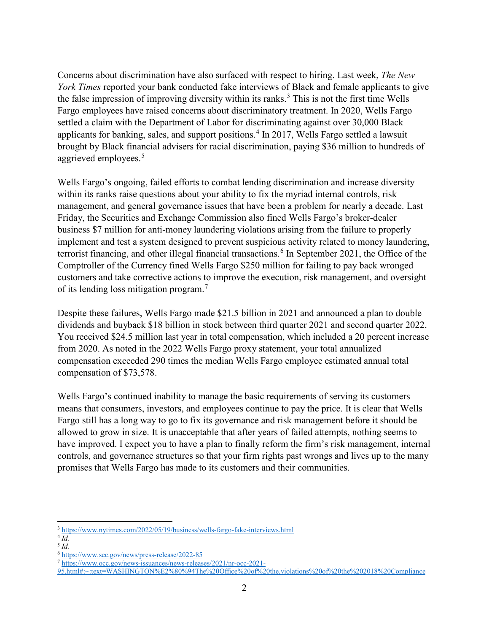Concerns about discrimination have also surfaced with respect to hiring. Last week, *The New York Times* reported your bank conducted fake interviews of Black and female applicants to give the false impression of improving diversity within its ranks.<sup>[3](#page-1-0)</sup> This is not the first time Wells Fargo employees have raised concerns about discriminatory treatment. In 2020, Wells Fargo settled a claim with the Department of Labor for discriminating against over 30,000 Black applicants for banking, sales, and support positions.<sup>[4](#page-1-1)</sup> In 2017, Wells Fargo settled a lawsuit brought by Black financial advisers for racial discrimination, paying \$36 million to hundreds of aggrieved employees.<sup>[5](#page-1-2)</sup>

Wells Fargo's ongoing, failed efforts to combat lending discrimination and increase diversity within its ranks raise questions about your ability to fix the myriad internal controls, risk management, and general governance issues that have been a problem for nearly a decade. Last Friday, the Securities and Exchange Commission also fined Wells Fargo's broker-dealer business \$7 million for anti-money laundering violations arising from the failure to properly implement and test a system designed to prevent suspicious activity related to money laundering, terrorist financing, and other illegal financial transactions.<sup>[6](#page-1-3)</sup> In September 2021, the Office of the Comptroller of the Currency fined Wells Fargo \$250 million for failing to pay back wronged customers and take corrective actions to improve the execution, risk management, and oversight of its lending loss mitigation program.<sup>[7](#page-1-4)</sup>

Despite these failures, Wells Fargo made \$21.5 billion in 2021 and announced a plan to double dividends and buyback \$18 billion in stock between third quarter 2021 and second quarter 2022. You received \$24.5 million last year in total compensation, which included a 20 percent increase from 2020. As noted in the 2022 Wells Fargo proxy statement, your total annualized compensation exceeded 290 times the median Wells Fargo employee estimated annual total compensation of \$73,578.

Wells Fargo's continued inability to manage the basic requirements of serving its customers means that consumers, investors, and employees continue to pay the price. It is clear that Wells Fargo still has a long way to go to fix its governance and risk management before it should be allowed to grow in size. It is unacceptable that after years of failed attempts, nothing seems to have improved. I expect you to have a plan to finally reform the firm's risk management, internal controls, and governance structures so that your firm rights past wrongs and lives up to the many promises that Wells Fargo has made to its customers and their communities.

l

<sup>3</sup> <https://www.nytimes.com/2022/05/19/business/wells-fargo-fake-interviews.html>

<span id="page-1-1"></span><span id="page-1-0"></span> $4\overline{Id}$ .

<span id="page-1-2"></span><sup>5</sup> *Id.* 

<span id="page-1-3"></span><sup>6</sup> <https://www.sec.gov/news/press-release/2022-85>

<span id="page-1-4"></span><sup>7</sup> [https://www.occ.gov/news-issuances/news-releases/2021/nr-occ-2021-](https://www.occ.gov/news-issuances/news-releases/2021/nr-occ-2021-95.html#:%7E:text=WASHINGTON%E2%80%94The%20Office%20of%20the,violations%20of%20the%202018%20Compliance)

[<sup>95.</sup>html#:~:text=WASHINGTON%E2%80%94The%20Office%20of%20the,violations%20of%20the%202018%20Compliance](https://www.occ.gov/news-issuances/news-releases/2021/nr-occ-2021-95.html#:%7E:text=WASHINGTON%E2%80%94The%20Office%20of%20the,violations%20of%20the%202018%20Compliance)